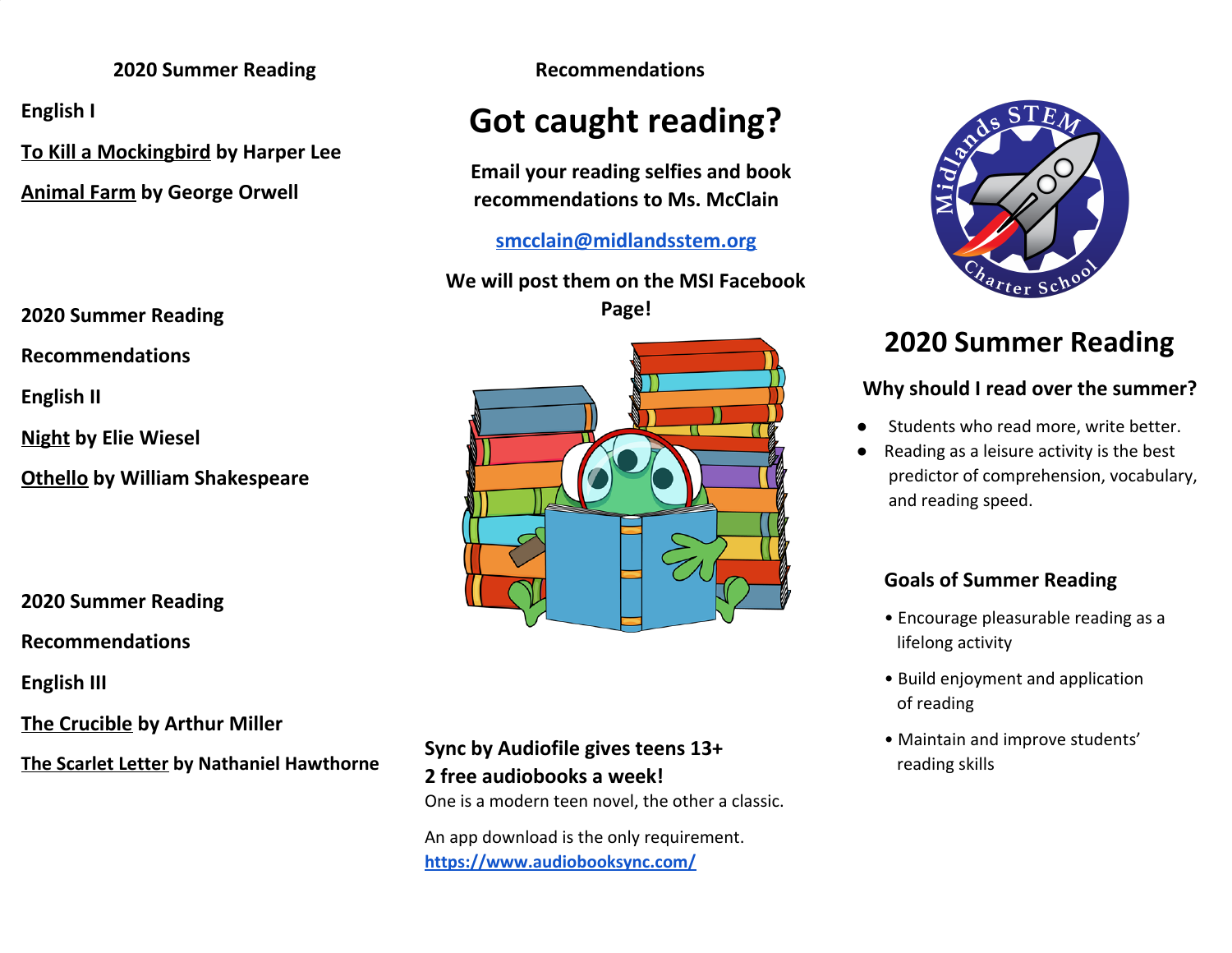#### **2020 Summer Reading Recommendations**

**English I**

**To Kill a Mockingbird by Harper Lee**

**Animal Farm by George Orwell**

**2020 Summer Reading**

**Recommendations**

**English II**

**Night by Elie Wiesel**

**Othello by William Shakespeare**

**2020 Summer Reading**

**Recommendations**

**English III**

**The Crucible by Arthur Miller**

**The Scarlet Letter by Nathaniel Hawthorne**

# **Got caught reading?**

**Email your reading selfies and book recommendations to Ms. McClain**

**[smcclain@midlandsstem.org](mailto:smcclain@midlandsstem.org)**

**We will post them on the MSI Facebook Page!**



# **Sync by Audiofile gives teens 13+ 2 free audiobooks a week!**

One is a modern teen novel, the other a classic.

An app download is the only requirement. **<https://www.audiobooksync.com/>**



# **2020 Summer Reading**

## **Why should I read over the summer?**

- Students who read more, write better.
- Reading as a leisure activity is the best predictor of comprehension, vocabulary, and reading speed.

# **Goals of Summer Reading**

- Encourage pleasurable reading as a lifelong activity
- Build enjoyment and application of reading
- Maintain and improve students' reading skills